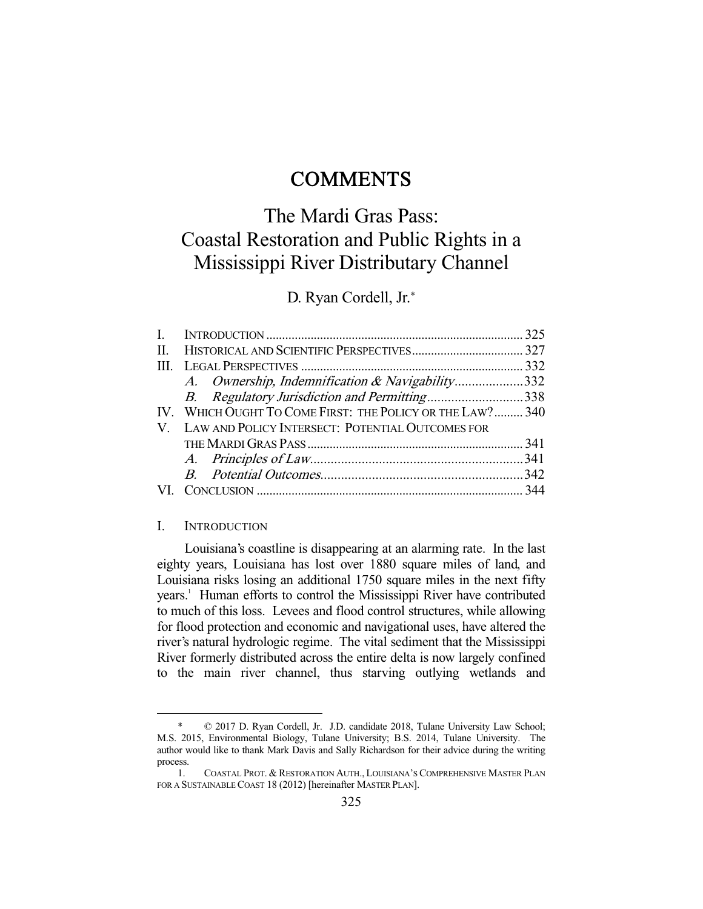## **COMMENTS**

# The Mardi Gras Pass: Coastal Restoration and Public Rights in a Mississippi River Distributary Channel

D. Ryan Cordell, Jr.\*

| II. |                                                           |  |
|-----|-----------------------------------------------------------|--|
|     |                                                           |  |
|     | A. Ownership, Indemnification & Navigability332           |  |
|     | B. Regulatory Jurisdiction and Permitting338              |  |
|     | IV. WHICH OUGHT TO COME FIRST: THE POLICY OR THE LAW? 340 |  |
|     | V. LAW AND POLICY INTERSECT: POTENTIAL OUTCOMES FOR       |  |
|     |                                                           |  |
|     |                                                           |  |
|     |                                                           |  |
|     |                                                           |  |
|     |                                                           |  |

#### I. INTRODUCTION

-

 Louisiana's coastline is disappearing at an alarming rate. In the last eighty years, Louisiana has lost over 1880 square miles of land, and Louisiana risks losing an additional 1750 square miles in the next fifty years.<sup>1</sup> Human efforts to control the Mississippi River have contributed to much of this loss. Levees and flood control structures, while allowing for flood protection and economic and navigational uses, have altered the river's natural hydrologic regime. The vital sediment that the Mississippi River formerly distributed across the entire delta is now largely confined to the main river channel, thus starving outlying wetlands and

 <sup>\* © 2017</sup> D. Ryan Cordell, Jr. J.D. candidate 2018, Tulane University Law School; M.S. 2015, Environmental Biology, Tulane University; B.S. 2014, Tulane University. The author would like to thank Mark Davis and Sally Richardson for their advice during the writing process.

 <sup>1.</sup> COASTAL PROT. & RESTORATION AUTH., LOUISIANA'S COMPREHENSIVE MASTER PLAN FOR A SUSTAINABLE COAST 18 (2012) [hereinafter MASTER PLAN].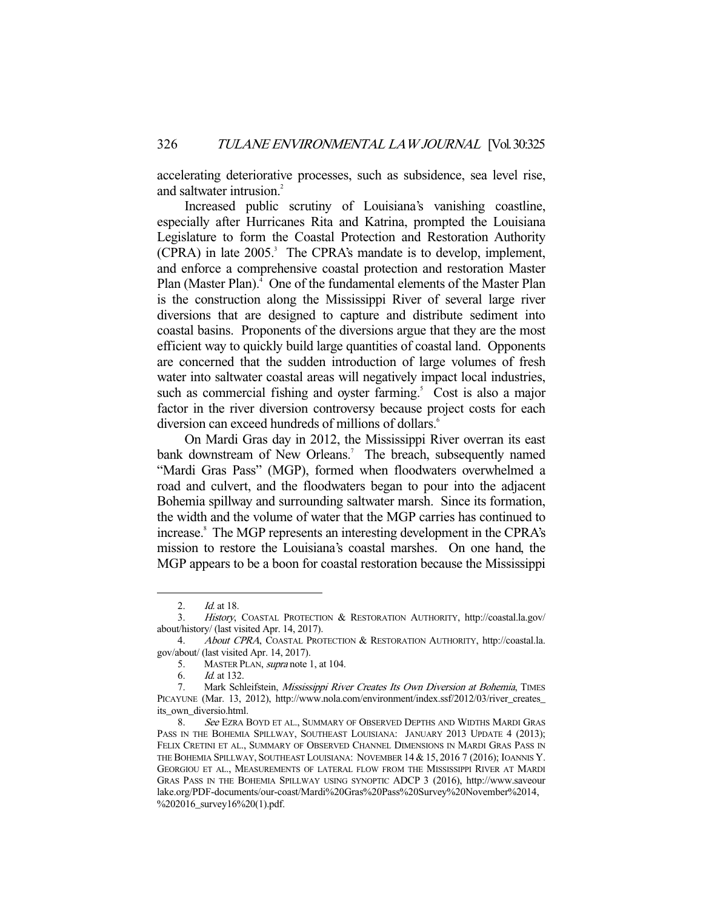accelerating deteriorative processes, such as subsidence, sea level rise, and saltwater intrusion.<sup>2</sup>

 Increased public scrutiny of Louisiana's vanishing coastline, especially after Hurricanes Rita and Katrina, prompted the Louisiana Legislature to form the Coastal Protection and Restoration Authority (CPRA) in late 2005.<sup>3</sup> The CPRA's mandate is to develop, implement, and enforce a comprehensive coastal protection and restoration Master Plan (Master Plan).<sup>4</sup> One of the fundamental elements of the Master Plan is the construction along the Mississippi River of several large river diversions that are designed to capture and distribute sediment into coastal basins. Proponents of the diversions argue that they are the most efficient way to quickly build large quantities of coastal land. Opponents are concerned that the sudden introduction of large volumes of fresh water into saltwater coastal areas will negatively impact local industries, such as commercial fishing and oyster farming.<sup>5</sup> Cost is also a major factor in the river diversion controversy because project costs for each diversion can exceed hundreds of millions of dollars.<sup>6</sup>

 On Mardi Gras day in 2012, the Mississippi River overran its east bank downstream of New Orleans.<sup>7</sup> The breach, subsequently named "Mardi Gras Pass" (MGP), formed when floodwaters overwhelmed a road and culvert, and the floodwaters began to pour into the adjacent Bohemia spillway and surrounding saltwater marsh. Since its formation, the width and the volume of water that the MGP carries has continued to increase.<sup>8</sup> The MGP represents an interesting development in the CPRA's mission to restore the Louisiana's coastal marshes. On one hand, the MGP appears to be a boon for coastal restoration because the Mississippi

 <sup>2.</sup> Id. at 18.

 <sup>3.</sup> History, COASTAL PROTECTION & RESTORATION AUTHORITY, http://coastal.la.gov/ about/history/ (last visited Apr. 14, 2017).

 <sup>4.</sup> About CPRA, COASTAL PROTECTION & RESTORATION AUTHORITY, http://coastal.la. gov/about/ (last visited Apr. 14, 2017).

 <sup>5.</sup> MASTER PLAN, supra note 1, at 104.

 <sup>6.</sup> Id. at 132.

<sup>7.</sup> Mark Schleifstein, Mississippi River Creates Its Own Diversion at Bohemia, TIMES PICAYUNE (Mar. 13, 2012), http://www.nola.com/environment/index.ssf/2012/03/river\_creates\_ its own diversio.html.

<sup>8.</sup> See EZRA BOYD ET AL., SUMMARY OF OBSERVED DEPTHS AND WIDTHS MARDI GRAS PASS IN THE BOHEMIA SPILLWAY, SOUTHEAST LOUISIANA: JANUARY 2013 UPDATE 4 (2013); FELIX CRETINI ET AL., SUMMARY OF OBSERVED CHANNEL DIMENSIONS IN MARDI GRAS PASS IN THE BOHEMIA SPILLWAY, SOUTHEAST LOUISIANA: NOVEMBER 14 & 15, 2016 7 (2016); IOANNIS Y. GEORGIOU ET AL., MEASUREMENTS OF LATERAL FLOW FROM THE MISSISSIPPI RIVER AT MARDI GRAS PASS IN THE BOHEMIA SPILLWAY USING SYNOPTIC ADCP 3 (2016), http://www.saveour lake.org/PDF-documents/our-coast/Mardi%20Gras%20Pass%20Survey%20November%2014, %202016\_survey16%20(1).pdf.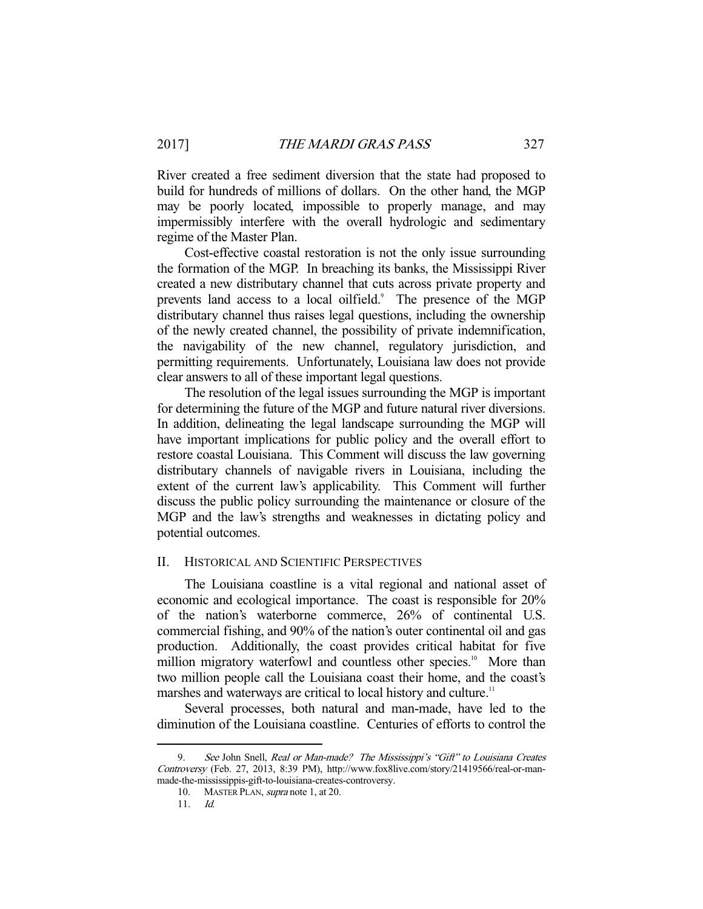River created a free sediment diversion that the state had proposed to build for hundreds of millions of dollars. On the other hand, the MGP may be poorly located, impossible to properly manage, and may impermissibly interfere with the overall hydrologic and sedimentary regime of the Master Plan.

 Cost-effective coastal restoration is not the only issue surrounding the formation of the MGP. In breaching its banks, the Mississippi River created a new distributary channel that cuts across private property and prevents land access to a local oilfield.<sup>9</sup> The presence of the MGP distributary channel thus raises legal questions, including the ownership of the newly created channel, the possibility of private indemnification, the navigability of the new channel, regulatory jurisdiction, and permitting requirements. Unfortunately, Louisiana law does not provide clear answers to all of these important legal questions.

 The resolution of the legal issues surrounding the MGP is important for determining the future of the MGP and future natural river diversions. In addition, delineating the legal landscape surrounding the MGP will have important implications for public policy and the overall effort to restore coastal Louisiana. This Comment will discuss the law governing distributary channels of navigable rivers in Louisiana, including the extent of the current law's applicability. This Comment will further discuss the public policy surrounding the maintenance or closure of the MGP and the law's strengths and weaknesses in dictating policy and potential outcomes.

## II. HISTORICAL AND SCIENTIFIC PERSPECTIVES

 The Louisiana coastline is a vital regional and national asset of economic and ecological importance. The coast is responsible for 20% of the nation's waterborne commerce, 26% of continental U.S. commercial fishing, and 90% of the nation's outer continental oil and gas production. Additionally, the coast provides critical habitat for five million migratory waterfowl and countless other species.<sup>10</sup> More than two million people call the Louisiana coast their home, and the coast's marshes and waterways are critical to local history and culture.<sup>11</sup>

 Several processes, both natural and man-made, have led to the diminution of the Louisiana coastline. Centuries of efforts to control the

<sup>9.</sup> See John Snell, Real or Man-made? The Mississippi's "Gift" to Louisiana Creates Controversy (Feb. 27, 2013, 8:39 PM), http://www.fox8live.com/story/21419566/real-or-manmade-the-mississippis-gift-to-louisiana-creates-controversy.

 <sup>10.</sup> MASTER PLAN, supra note 1, at 20.

 <sup>11.</sup> Id.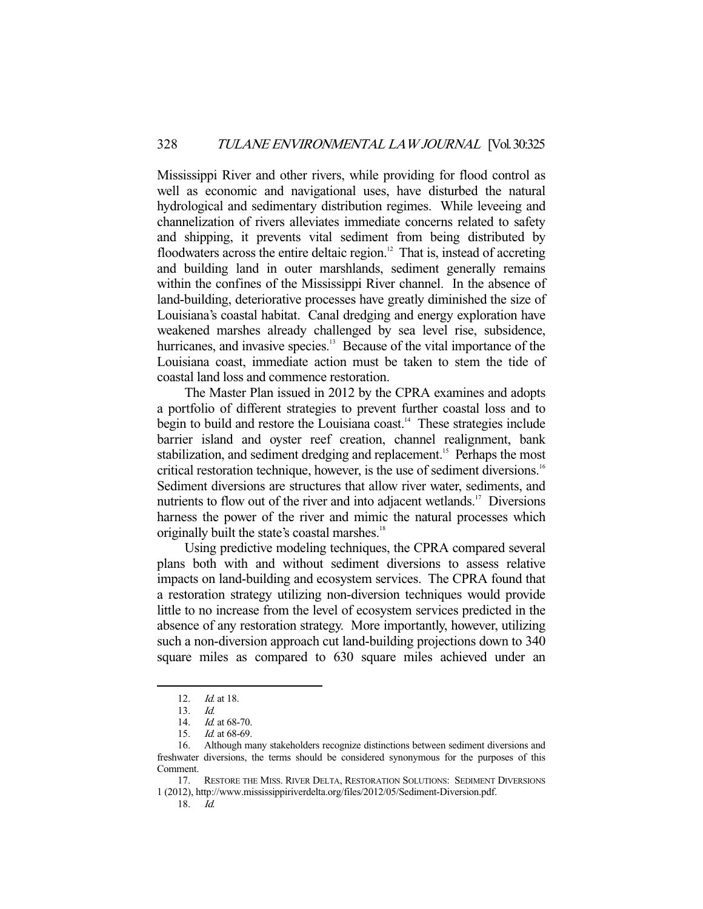Mississippi River and other rivers, while providing for flood control as well as economic and navigational uses, have disturbed the natural hydrological and sedimentary distribution regimes. While leveeing and channelization of rivers alleviates immediate concerns related to safety and shipping, it prevents vital sediment from being distributed by floodwaters across the entire deltaic region.<sup>12</sup> That is, instead of accreting and building land in outer marshlands, sediment generally remains within the confines of the Mississippi River channel. In the absence of land-building, deteriorative processes have greatly diminished the size of Louisiana's coastal habitat. Canal dredging and energy exploration have weakened marshes already challenged by sea level rise, subsidence, hurricanes, and invasive species.<sup>13</sup> Because of the vital importance of the Louisiana coast, immediate action must be taken to stem the tide of coastal land loss and commence restoration.

 The Master Plan issued in 2012 by the CPRA examines and adopts a portfolio of different strategies to prevent further coastal loss and to begin to build and restore the Louisiana coast.<sup>14</sup> These strategies include barrier island and oyster reef creation, channel realignment, bank stabilization, and sediment dredging and replacement.<sup>15</sup> Perhaps the most critical restoration technique, however, is the use of sediment diversions.<sup>16</sup> Sediment diversions are structures that allow river water, sediments, and nutrients to flow out of the river and into adjacent wetlands.<sup>17</sup> Diversions harness the power of the river and mimic the natural processes which originally built the state's coastal marshes.<sup>18</sup>

 Using predictive modeling techniques, the CPRA compared several plans both with and without sediment diversions to assess relative impacts on land-building and ecosystem services. The CPRA found that a restoration strategy utilizing non-diversion techniques would provide little to no increase from the level of ecosystem services predicted in the absence of any restoration strategy. More importantly, however, utilizing such a non-diversion approach cut land-building projections down to 340 square miles as compared to 630 square miles achieved under an

-

18. Id.

<sup>12.</sup> *Id.* at 18.

<sup>13.</sup>  $\frac{Id}{14}$ .  $\frac{Id}{14}$ .

Id. at 68-70.

 <sup>15.</sup> Id. at 68-69.

 <sup>16.</sup> Although many stakeholders recognize distinctions between sediment diversions and freshwater diversions, the terms should be considered synonymous for the purposes of this Comment.

 <sup>17.</sup> RESTORE THE MISS. RIVER DELTA, RESTORATION SOLUTIONS: SEDIMENT DIVERSIONS 1 (2012), http://www.mississippiriverdelta.org/files/2012/05/Sediment-Diversion.pdf.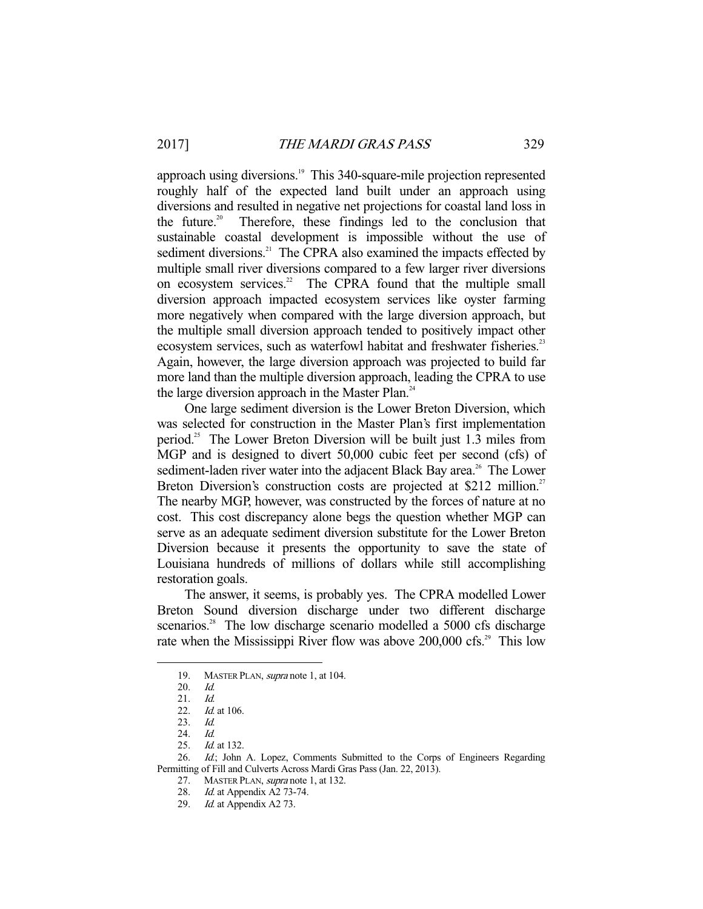approach using diversions.<sup>19</sup> This 340-square-mile projection represented roughly half of the expected land built under an approach using diversions and resulted in negative net projections for coastal land loss in the future.<sup>20</sup> Therefore, these findings led to the conclusion that sustainable coastal development is impossible without the use of sediment diversions.<sup>21</sup> The CPRA also examined the impacts effected by multiple small river diversions compared to a few larger river diversions on ecosystem services.<sup>22</sup> The CPRA found that the multiple small diversion approach impacted ecosystem services like oyster farming more negatively when compared with the large diversion approach, but the multiple small diversion approach tended to positively impact other ecosystem services, such as waterfowl habitat and freshwater fisheries.<sup>23</sup> Again, however, the large diversion approach was projected to build far more land than the multiple diversion approach, leading the CPRA to use the large diversion approach in the Master Plan.<sup>24</sup>

 One large sediment diversion is the Lower Breton Diversion, which was selected for construction in the Master Plan's first implementation period.25 The Lower Breton Diversion will be built just 1.3 miles from MGP and is designed to divert 50,000 cubic feet per second (cfs) of sediment-laden river water into the adjacent Black Bay area.<sup>26</sup> The Lower Breton Diversion's construction costs are projected at \$212 million.<sup>27</sup> The nearby MGP, however, was constructed by the forces of nature at no cost. This cost discrepancy alone begs the question whether MGP can serve as an adequate sediment diversion substitute for the Lower Breton Diversion because it presents the opportunity to save the state of Louisiana hundreds of millions of dollars while still accomplishing restoration goals.

 The answer, it seems, is probably yes. The CPRA modelled Lower Breton Sound diversion discharge under two different discharge scenarios.<sup>28</sup> The low discharge scenario modelled a 5000 cfs discharge rate when the Mississippi River flow was above  $200,000$  cfs.<sup>29</sup> This low

<sup>19.</sup> MASTER PLAN, supra note 1, at 104.

 <sup>20.</sup> Id.

 <sup>21.</sup> Id.

<sup>22.</sup> *Id.* at 106.

 <sup>23.</sup> Id.

 <sup>24.</sup> Id.

<sup>25.</sup> *Id.* at 132.

<sup>26.</sup> Id.; John A. Lopez, Comments Submitted to the Corps of Engineers Regarding Permitting of Fill and Culverts Across Mardi Gras Pass (Jan. 22, 2013).

<sup>27.</sup> MASTER PLAN, *supra* note 1, at 132.

 <sup>28.</sup> Id. at Appendix A2 73-74.

 <sup>29.</sup> Id. at Appendix A2 73.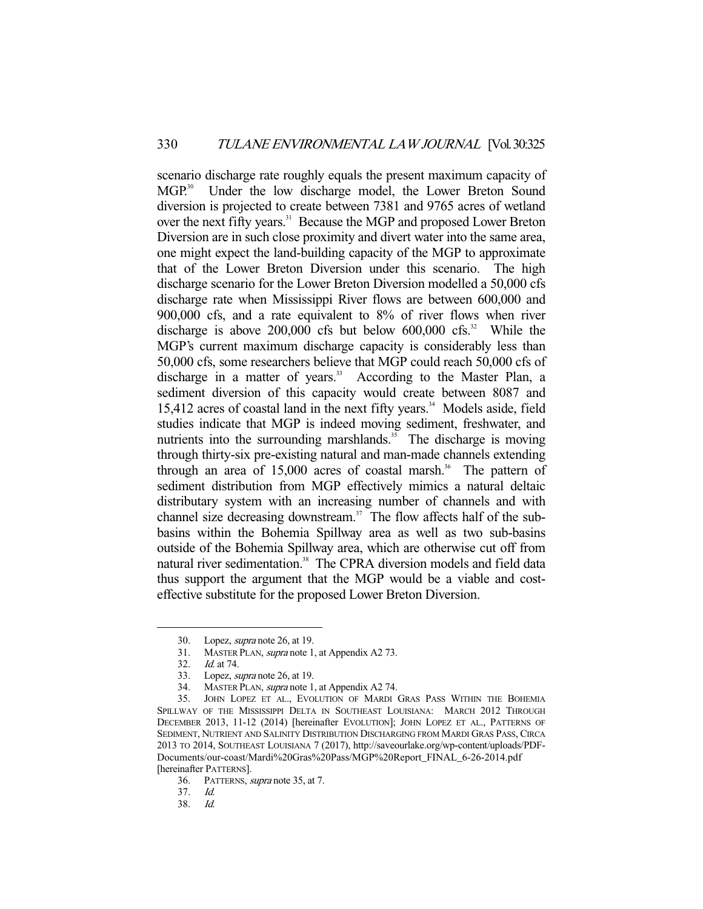scenario discharge rate roughly equals the present maximum capacity of MGP.<sup>30</sup> Under the low discharge model, the Lower Breton Sound diversion is projected to create between 7381 and 9765 acres of wetland over the next fifty years.<sup>31</sup> Because the MGP and proposed Lower Breton Diversion are in such close proximity and divert water into the same area, one might expect the land-building capacity of the MGP to approximate that of the Lower Breton Diversion under this scenario. The high discharge scenario for the Lower Breton Diversion modelled a 50,000 cfs discharge rate when Mississippi River flows are between 600,000 and 900,000 cfs, and a rate equivalent to 8% of river flows when river discharge is above  $200,000$  cfs but below  $600,000$  cfs.<sup>32</sup> While the MGP's current maximum discharge capacity is considerably less than 50,000 cfs, some researchers believe that MGP could reach 50,000 cfs of discharge in a matter of years.<sup>33</sup> According to the Master Plan, a sediment diversion of this capacity would create between 8087 and 15,412 acres of coastal land in the next fifty years.<sup>34</sup> Models aside, field studies indicate that MGP is indeed moving sediment, freshwater, and nutrients into the surrounding marshlands.<sup>35</sup> The discharge is moving through thirty-six pre-existing natural and man-made channels extending through an area of  $15,000$  acres of coastal marsh.<sup>36</sup> The pattern of sediment distribution from MGP effectively mimics a natural deltaic distributary system with an increasing number of channels and with channel size decreasing downstream.37 The flow affects half of the subbasins within the Bohemia Spillway area as well as two sub-basins outside of the Bohemia Spillway area, which are otherwise cut off from natural river sedimentation.<sup>38</sup> The CPRA diversion models and field data thus support the argument that the MGP would be a viable and costeffective substitute for the proposed Lower Breton Diversion.

 <sup>30.</sup> Lopez, supra note 26, at 19.

 <sup>31.</sup> MASTER PLAN, supra note 1, at Appendix A2 73.

 <sup>32.</sup> Id. at 74.

 <sup>33.</sup> Lopez, supra note 26, at 19.

 <sup>34.</sup> MASTER PLAN, supra note 1, at Appendix A2 74.

 <sup>35.</sup> JOHN LOPEZ ET AL., EVOLUTION OF MARDI GRAS PASS WITHIN THE BOHEMIA SPILLWAY OF THE MISSISSIPPI DELTA IN SOUTHEAST LOUISIANA: MARCH 2012 THROUGH DECEMBER 2013, 11-12 (2014) [hereinafter EVOLUTION]; JOHN LOPEZ ET AL., PATTERNS OF SEDIMENT, NUTRIENT AND SALINITY DISTRIBUTION DISCHARGING FROM MARDI GRAS PASS, CIRCA 2013 TO 2014, SOUTHEAST LOUISIANA 7 (2017), http://saveourlake.org/wp-content/uploads/PDF-Documents/our-coast/Mardi%20Gras%20Pass/MGP%20Report\_FINAL\_6-26-2014.pdf [hereinafter PATTERNS].

 <sup>36.</sup> PATTERNS, supra note 35, at 7.

 <sup>37.</sup> Id.

 $Id$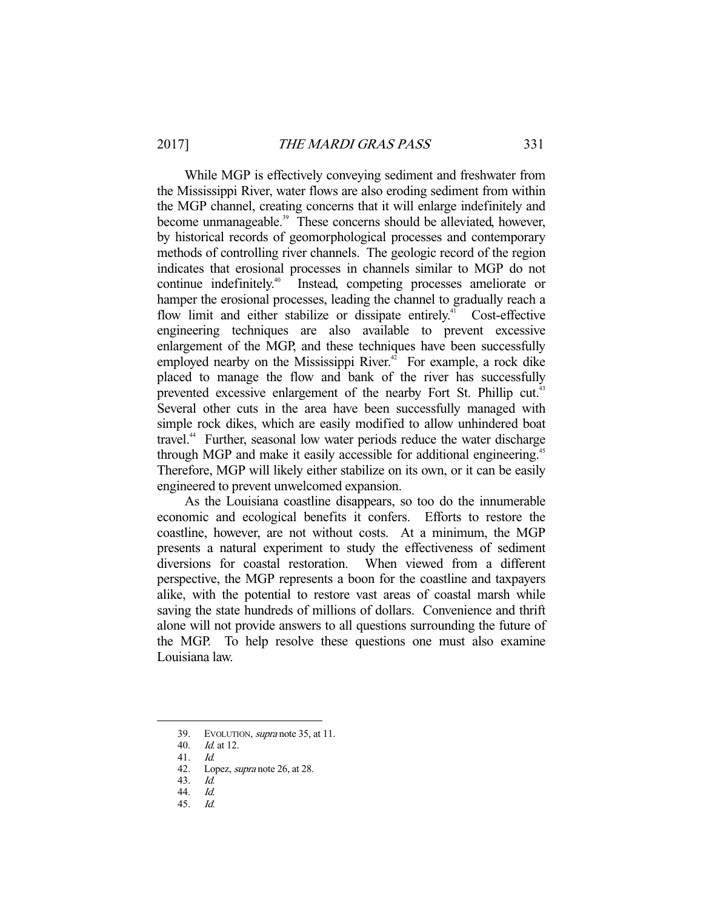While MGP is effectively conveying sediment and freshwater from the Mississippi River, water flows are also eroding sediment from within the MGP channel, creating concerns that it will enlarge indefinitely and become unmanageable.<sup>39</sup> These concerns should be alleviated, however, by historical records of geomorphological processes and contemporary methods of controlling river channels. The geologic record of the region indicates that erosional processes in channels similar to MGP do not continue indefinitely.<sup>40</sup> Instead, competing processes ameliorate or hamper the erosional processes, leading the channel to gradually reach a flow limit and either stabilize or dissipate entirely.<sup>41</sup> Cost-effective engineering techniques are also available to prevent excessive enlargement of the MGP, and these techniques have been successfully employed nearby on the Mississippi River. $42$  For example, a rock dike placed to manage the flow and bank of the river has successfully prevented excessive enlargement of the nearby Fort St. Phillip cut.<sup>43</sup> Several other cuts in the area have been successfully managed with simple rock dikes, which are easily modified to allow unhindered boat travel.<sup>44</sup> Further, seasonal low water periods reduce the water discharge through MGP and make it easily accessible for additional engineering.<sup>45</sup> Therefore, MGP will likely either stabilize on its own, or it can be easily engineered to prevent unwelcomed expansion.

 As the Louisiana coastline disappears, so too do the innumerable economic and ecological benefits it confers. Efforts to restore the coastline, however, are not without costs. At a minimum, the MGP presents a natural experiment to study the effectiveness of sediment diversions for coastal restoration. When viewed from a different perspective, the MGP represents a boon for the coastline and taxpayers alike, with the potential to restore vast areas of coastal marsh while saving the state hundreds of millions of dollars. Convenience and thrift alone will not provide answers to all questions surrounding the future of the MGP. To help resolve these questions one must also examine Louisiana law.

<sup>39.</sup> EVOLUTION, *supra* note 35, at 11.

 <sup>40.</sup> Id. at 12.

<sup>41.</sup> *Id.*<br>42. Lot

Lopez, *supra* note 26, at 28.

 <sup>43.</sup> Id.

<sup>44.</sup> *Id.*<br>45. *Id.* 

 $45.$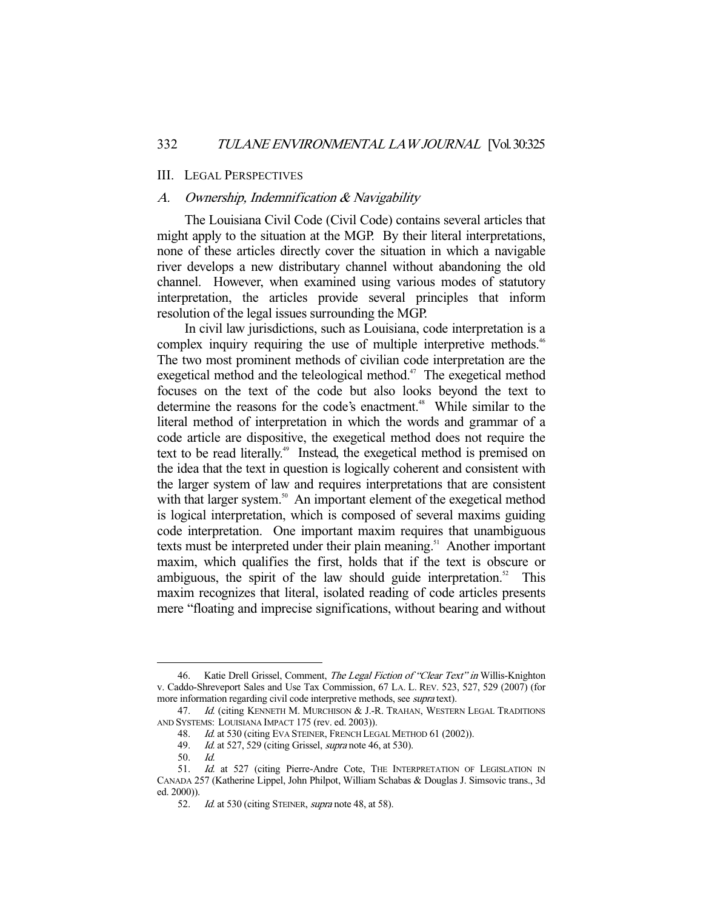#### III. LEGAL PERSPECTIVES

## A. Ownership, Indemnification & Navigability

 The Louisiana Civil Code (Civil Code) contains several articles that might apply to the situation at the MGP. By their literal interpretations, none of these articles directly cover the situation in which a navigable river develops a new distributary channel without abandoning the old channel. However, when examined using various modes of statutory interpretation, the articles provide several principles that inform resolution of the legal issues surrounding the MGP.

 In civil law jurisdictions, such as Louisiana, code interpretation is a complex inquiry requiring the use of multiple interpretive methods.<sup>46</sup> The two most prominent methods of civilian code interpretation are the exegetical method and the teleological method.<sup>47</sup> The exegetical method focuses on the text of the code but also looks beyond the text to determine the reasons for the code's enactment.<sup>48</sup> While similar to the literal method of interpretation in which the words and grammar of a code article are dispositive, the exegetical method does not require the text to be read literally.<sup>49</sup> Instead, the exegetical method is premised on the idea that the text in question is logically coherent and consistent with the larger system of law and requires interpretations that are consistent with that larger system.<sup>50</sup> An important element of the exegetical method is logical interpretation, which is composed of several maxims guiding code interpretation. One important maxim requires that unambiguous texts must be interpreted under their plain meaning.<sup>51</sup> Another important maxim, which qualifies the first, holds that if the text is obscure or ambiguous, the spirit of the law should guide interpretation.<sup>52</sup> This maxim recognizes that literal, isolated reading of code articles presents mere "floating and imprecise significations, without bearing and without

<sup>46.</sup> Katie Drell Grissel, Comment, The Legal Fiction of "Clear Text" in Willis-Knighton v. Caddo-Shreveport Sales and Use Tax Commission, 67 LA. L. REV. 523, 527, 529 (2007) (for more information regarding civil code interpretive methods, see *supra* text).

<sup>47.</sup> Id. (citing KENNETH M. MURCHISON & J.-R. TRAHAN, WESTERN LEGAL TRADITIONS AND SYSTEMS: LOUISIANA IMPACT 175 (rev. ed. 2003)).

<sup>48.</sup> Id. at 530 (citing EVA STEINER, FRENCH LEGAL METHOD 61 (2002)).

<sup>49.</sup> *Id.* at 527, 529 (citing Grissel, *supra* note 46, at 530).

 <sup>50.</sup> Id.

<sup>51.</sup> Id. at 527 (citing Pierre-Andre Cote, THE INTERPRETATION OF LEGISLATION IN CANADA 257 (Katherine Lippel, John Philpot, William Schabas & Douglas J. Simsovic trans., 3d ed. 2000)).

<sup>52.</sup> Id. at 530 (citing STEINER, supra note 48, at 58).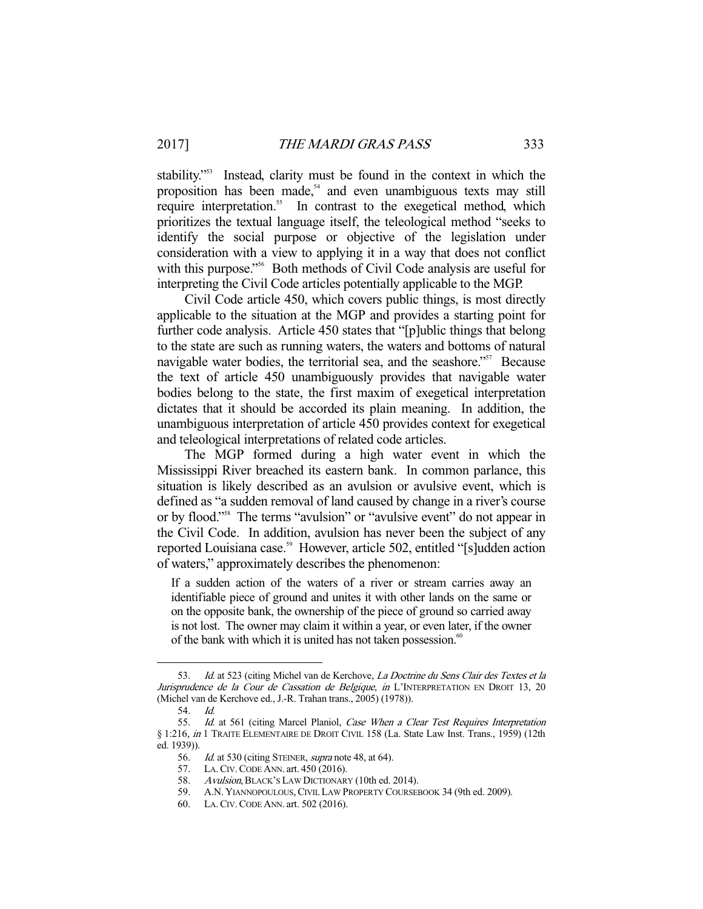stability."53 Instead, clarity must be found in the context in which the proposition has been made,<sup>54</sup> and even unambiguous texts may still require interpretation.<sup>55</sup> In contrast to the exegetical method, which prioritizes the textual language itself, the teleological method "seeks to identify the social purpose or objective of the legislation under consideration with a view to applying it in a way that does not conflict with this purpose."<sup>56</sup> Both methods of Civil Code analysis are useful for interpreting the Civil Code articles potentially applicable to the MGP.

 Civil Code article 450, which covers public things, is most directly applicable to the situation at the MGP and provides a starting point for further code analysis. Article 450 states that "[p]ublic things that belong to the state are such as running waters, the waters and bottoms of natural navigable water bodies, the territorial sea, and the seashore."<sup>57</sup> Because the text of article 450 unambiguously provides that navigable water bodies belong to the state, the first maxim of exegetical interpretation dictates that it should be accorded its plain meaning. In addition, the unambiguous interpretation of article 450 provides context for exegetical and teleological interpretations of related code articles.

 The MGP formed during a high water event in which the Mississippi River breached its eastern bank. In common parlance, this situation is likely described as an avulsion or avulsive event, which is defined as "a sudden removal of land caused by change in a river's course or by flood."58 The terms "avulsion" or "avulsive event" do not appear in the Civil Code. In addition, avulsion has never been the subject of any reported Louisiana case.<sup>59</sup> However, article 502, entitled "[s]udden action of waters," approximately describes the phenomenon:

If a sudden action of the waters of a river or stream carries away an identifiable piece of ground and unites it with other lands on the same or on the opposite bank, the ownership of the piece of ground so carried away is not lost. The owner may claim it within a year, or even later, if the owner of the bank with which it is united has not taken possession.<sup>60</sup>

 <sup>53.</sup> Id. at 523 (citing Michel van de Kerchove, La Doctrine du Sens Clair des Textes et la Jurisprudence de la Cour de Cassation de Belgique, in L'INTERPRETATION EN DROIT 13, 20 (Michel van de Kerchove ed., J.-R. Trahan trans., 2005) (1978)).

 <sup>54.</sup> Id.

<sup>55.</sup> Id. at 561 (citing Marcel Planiol, *Case When a Clear Test Requires Interpretation* § 1:216, in 1 TRAITE ELEMENTAIRE DE DROIT CIVIL 158 (La. State Law Inst. Trans., 1959) (12th ed. 1939)).

<sup>56.</sup> *Id.* at 530 (citing STEINER, *supra* note 48, at 64).<br>57. LA. CIV. CODE ANN. art. 450 (2016).

LA. CIV. CODE ANN. art. 450 (2016).

<sup>58.</sup> Avulsion, BLACK's LAW DICTIONARY (10th ed. 2014).

 <sup>59.</sup> A.N. YIANNOPOULOUS,CIVIL LAW PROPERTY COURSEBOOK 34 (9th ed. 2009).

 <sup>60.</sup> LA.CIV.CODE ANN. art. 502 (2016).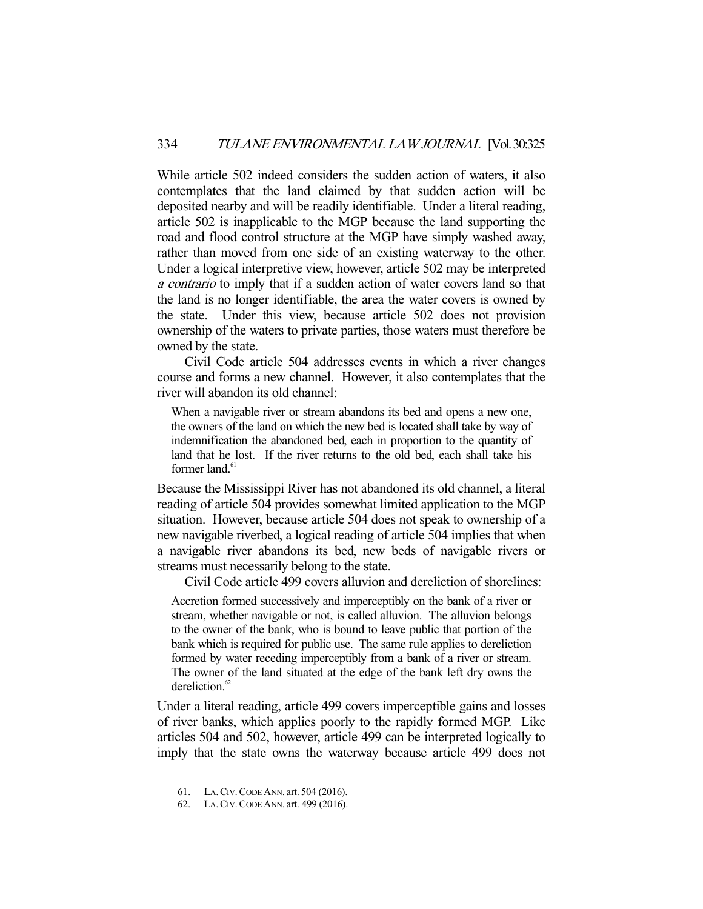While article 502 indeed considers the sudden action of waters, it also contemplates that the land claimed by that sudden action will be deposited nearby and will be readily identifiable. Under a literal reading, article 502 is inapplicable to the MGP because the land supporting the road and flood control structure at the MGP have simply washed away, rather than moved from one side of an existing waterway to the other. Under a logical interpretive view, however, article 502 may be interpreted a contrario to imply that if a sudden action of water covers land so that the land is no longer identifiable, the area the water covers is owned by the state. Under this view, because article 502 does not provision ownership of the waters to private parties, those waters must therefore be owned by the state.

 Civil Code article 504 addresses events in which a river changes course and forms a new channel. However, it also contemplates that the river will abandon its old channel:

When a navigable river or stream abandons its bed and opens a new one, the owners of the land on which the new bed is located shall take by way of indemnification the abandoned bed, each in proportion to the quantity of land that he lost. If the river returns to the old bed, each shall take his former land.<sup>61</sup>

Because the Mississippi River has not abandoned its old channel, a literal reading of article 504 provides somewhat limited application to the MGP situation. However, because article 504 does not speak to ownership of a new navigable riverbed, a logical reading of article 504 implies that when a navigable river abandons its bed, new beds of navigable rivers or streams must necessarily belong to the state.

Civil Code article 499 covers alluvion and dereliction of shorelines:

Accretion formed successively and imperceptibly on the bank of a river or stream, whether navigable or not, is called alluvion. The alluvion belongs to the owner of the bank, who is bound to leave public that portion of the bank which is required for public use. The same rule applies to dereliction formed by water receding imperceptibly from a bank of a river or stream. The owner of the land situated at the edge of the bank left dry owns the dereliction.<sup>62</sup>

Under a literal reading, article 499 covers imperceptible gains and losses of river banks, which applies poorly to the rapidly formed MGP. Like articles 504 and 502, however, article 499 can be interpreted logically to imply that the state owns the waterway because article 499 does not

 <sup>61.</sup> LA.CIV.CODE ANN. art. 504 (2016).

 <sup>62.</sup> LA.CIV.CODE ANN. art. 499 (2016).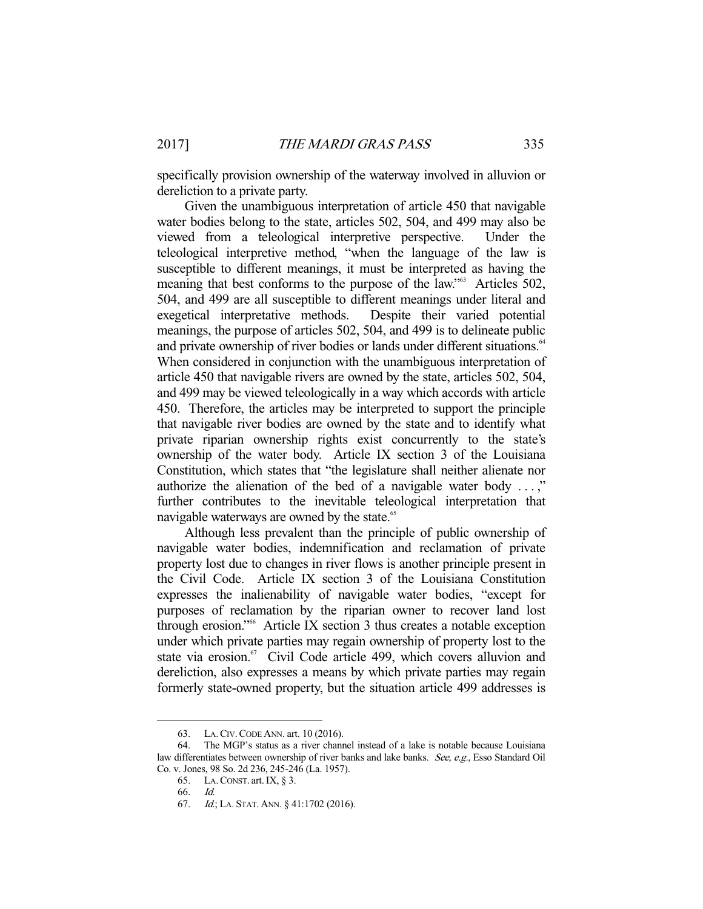specifically provision ownership of the waterway involved in alluvion or dereliction to a private party.

 Given the unambiguous interpretation of article 450 that navigable water bodies belong to the state, articles 502, 504, and 499 may also be viewed from a teleological interpretive perspective. Under the teleological interpretive method, "when the language of the law is susceptible to different meanings, it must be interpreted as having the meaning that best conforms to the purpose of the law."<sup>63</sup> Articles 502, 504, and 499 are all susceptible to different meanings under literal and exegetical interpretative methods. Despite their varied potential meanings, the purpose of articles 502, 504, and 499 is to delineate public and private ownership of river bodies or lands under different situations.<sup>64</sup> When considered in conjunction with the unambiguous interpretation of article 450 that navigable rivers are owned by the state, articles 502, 504, and 499 may be viewed teleologically in a way which accords with article 450. Therefore, the articles may be interpreted to support the principle that navigable river bodies are owned by the state and to identify what private riparian ownership rights exist concurrently to the state's ownership of the water body. Article IX section 3 of the Louisiana Constitution, which states that "the legislature shall neither alienate nor authorize the alienation of the bed of a navigable water body . . . ," further contributes to the inevitable teleological interpretation that navigable waterways are owned by the state.<sup>65</sup>

 Although less prevalent than the principle of public ownership of navigable water bodies, indemnification and reclamation of private property lost due to changes in river flows is another principle present in the Civil Code. Article IX section 3 of the Louisiana Constitution expresses the inalienability of navigable water bodies, "except for purposes of reclamation by the riparian owner to recover land lost through erosion."66 Article IX section 3 thus creates a notable exception under which private parties may regain ownership of property lost to the state via erosion.<sup>67</sup> Civil Code article 499, which covers alluvion and dereliction, also expresses a means by which private parties may regain formerly state-owned property, but the situation article 499 addresses is

 <sup>63.</sup> LA.CIV.CODE ANN. art. 10 (2016).

 <sup>64.</sup> The MGP's status as a river channel instead of a lake is notable because Louisiana law differentiates between ownership of river banks and lake banks. See, e.g., Esso Standard Oil Co. v. Jones, 98 So. 2d 236, 245-246 (La. 1957).

 <sup>65.</sup> LA.CONST. art.IX, § 3.

 <sup>66.</sup> Id.

 <sup>67.</sup> Id.; LA. STAT. ANN. § 41:1702 (2016).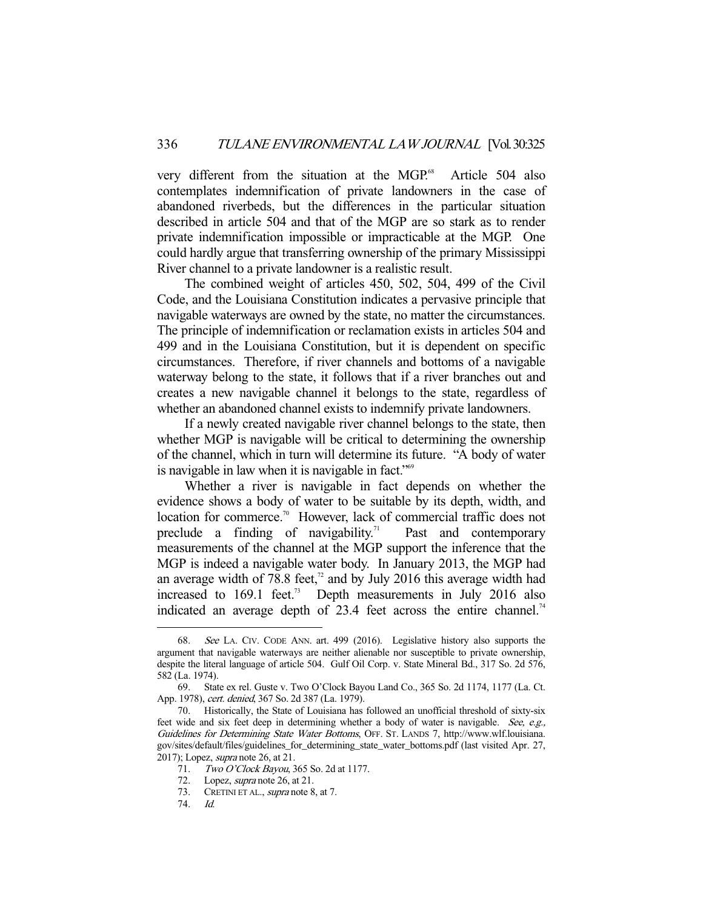very different from the situation at the MGP.<sup>68</sup> Article 504 also contemplates indemnification of private landowners in the case of abandoned riverbeds, but the differences in the particular situation described in article 504 and that of the MGP are so stark as to render private indemnification impossible or impracticable at the MGP. One could hardly argue that transferring ownership of the primary Mississippi River channel to a private landowner is a realistic result.

 The combined weight of articles 450, 502, 504, 499 of the Civil Code, and the Louisiana Constitution indicates a pervasive principle that navigable waterways are owned by the state, no matter the circumstances. The principle of indemnification or reclamation exists in articles 504 and 499 and in the Louisiana Constitution, but it is dependent on specific circumstances. Therefore, if river channels and bottoms of a navigable waterway belong to the state, it follows that if a river branches out and creates a new navigable channel it belongs to the state, regardless of whether an abandoned channel exists to indemnify private landowners.

 If a newly created navigable river channel belongs to the state, then whether MGP is navigable will be critical to determining the ownership of the channel, which in turn will determine its future. "A body of water is navigable in law when it is navigable in fact.<sup>"69</sup>

 Whether a river is navigable in fact depends on whether the evidence shows a body of water to be suitable by its depth, width, and location for commerce.<sup>70</sup> However, lack of commercial traffic does not preclude a finding of navigability.<sup>71</sup> Past and contemporary measurements of the channel at the MGP support the inference that the MGP is indeed a navigable water body. In January 2013, the MGP had an average width of 78.8 feet, $\frac{1}{2}$  and by July 2016 this average width had increased to  $169.1$  feet.<sup>73</sup> Depth measurements in July 2016 also indicated an average depth of  $23.4$  feet across the entire channel.<sup>74</sup>

 <sup>68.</sup> See LA. CIV. CODE ANN. art. 499 (2016). Legislative history also supports the argument that navigable waterways are neither alienable nor susceptible to private ownership, despite the literal language of article 504. Gulf Oil Corp. v. State Mineral Bd., 317 So. 2d 576, 582 (La. 1974).

 <sup>69.</sup> State ex rel. Guste v. Two O'Clock Bayou Land Co., 365 So. 2d 1174, 1177 (La. Ct. App. 1978), cert. denied, 367 So. 2d 387 (La. 1979).

 <sup>70.</sup> Historically, the State of Louisiana has followed an unofficial threshold of sixty-six feet wide and six feet deep in determining whether a body of water is navigable. See, e.g., Guidelines for Determining State Water Bottoms, OFF. ST. LANDS 7, http://www.wlf.louisiana. gov/sites/default/files/guidelines\_for\_determining\_state\_water\_bottoms.pdf (last visited Apr. 27, 2017); Lopez, supra note 26, at 21.

<sup>71.</sup> Two O'Clock Bayou, 365 So. 2d at 1177.

 <sup>72.</sup> Lopez, supra note 26, at 21.

<sup>73.</sup> CRETINI ET AL., *supra* note 8, at 7.

 <sup>74.</sup> Id.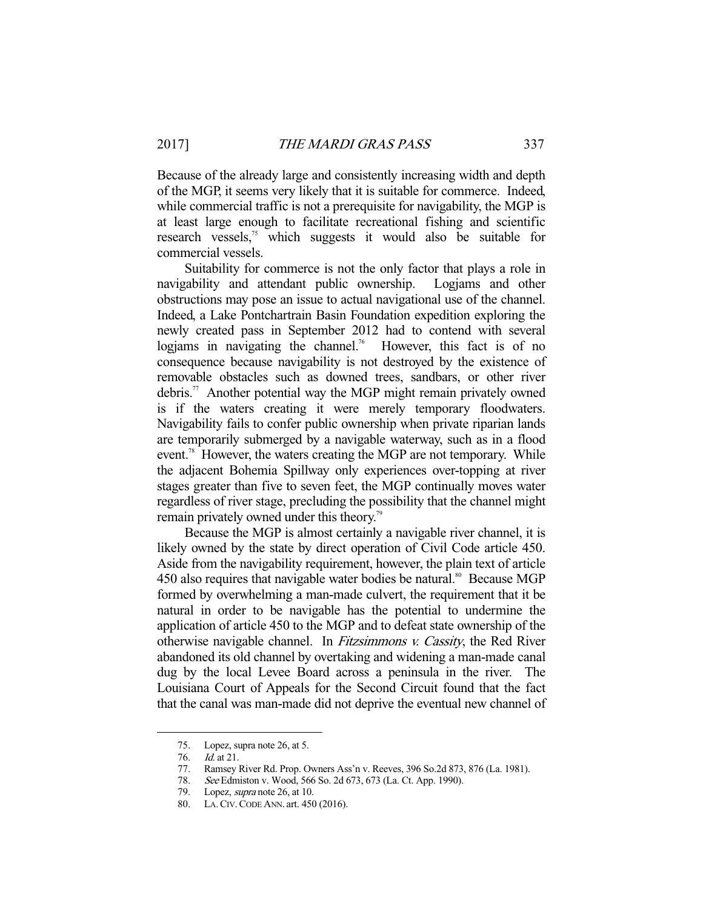Because of the already large and consistently increasing width and depth of the MGP, it seems very likely that it is suitable for commerce. Indeed, while commercial traffic is not a prerequisite for navigability, the MGP is at least large enough to facilitate recreational fishing and scientific research vessels,<sup>75</sup> which suggests it would also be suitable for commercial vessels.

 Suitability for commerce is not the only factor that plays a role in navigability and attendant public ownership. Logjams and other obstructions may pose an issue to actual navigational use of the channel. Indeed, a Lake Pontchartrain Basin Foundation expedition exploring the newly created pass in September 2012 had to contend with several logiams in navigating the channel.<sup>76</sup> However, this fact is of no consequence because navigability is not destroyed by the existence of removable obstacles such as downed trees, sandbars, or other river debris.<sup>77</sup> Another potential way the MGP might remain privately owned is if the waters creating it were merely temporary floodwaters. Navigability fails to confer public ownership when private riparian lands are temporarily submerged by a navigable waterway, such as in a flood event.<sup>78</sup> However, the waters creating the MGP are not temporary. While the adjacent Bohemia Spillway only experiences over-topping at river stages greater than five to seven feet, the MGP continually moves water regardless of river stage, precluding the possibility that the channel might remain privately owned under this theory.<sup>79</sup>

 Because the MGP is almost certainly a navigable river channel, it is likely owned by the state by direct operation of Civil Code article 450. Aside from the navigability requirement, however, the plain text of article 450 also requires that navigable water bodies be natural.<sup>80</sup> Because MGP formed by overwhelming a man-made culvert, the requirement that it be natural in order to be navigable has the potential to undermine the application of article 450 to the MGP and to defeat state ownership of the otherwise navigable channel. In Fitzsimmons v. Cassity, the Red River abandoned its old channel by overtaking and widening a man-made canal dug by the local Levee Board across a peninsula in the river. The Louisiana Court of Appeals for the Second Circuit found that the fact that the canal was man-made did not deprive the eventual new channel of

 <sup>75.</sup> Lopez, supra note 26, at 5.

 <sup>76.</sup> Id. at 21.

 <sup>77.</sup> Ramsey River Rd. Prop. Owners Ass'n v. Reeves, 396 So.2d 873, 876 (La. 1981).

 <sup>78.</sup> See Edmiston v. Wood, 566 So. 2d 673, 673 (La. Ct. App. 1990).

 <sup>79.</sup> Lopez, supra note 26, at 10.

 <sup>80.</sup> LA.CIV.CODE ANN. art. 450 (2016).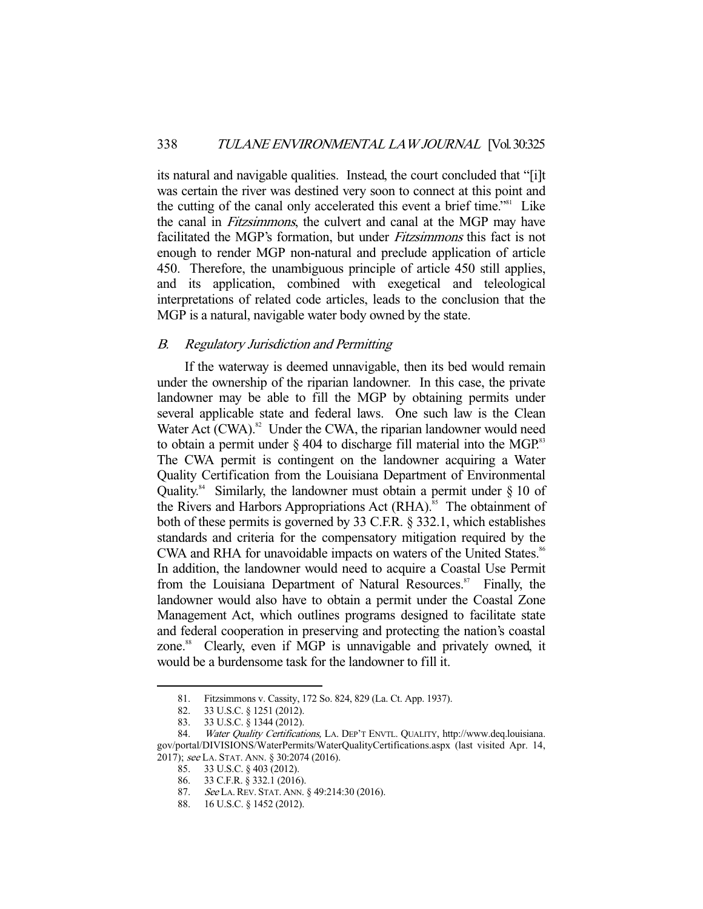its natural and navigable qualities. Instead, the court concluded that "[i]t was certain the river was destined very soon to connect at this point and the cutting of the canal only accelerated this event a brief time."81 Like the canal in Fitzsimmons, the culvert and canal at the MGP may have facilitated the MGP's formation, but under Fitzsimmons this fact is not enough to render MGP non-natural and preclude application of article 450. Therefore, the unambiguous principle of article 450 still applies, and its application, combined with exegetical and teleological interpretations of related code articles, leads to the conclusion that the MGP is a natural, navigable water body owned by the state.

## B. Regulatory Jurisdiction and Permitting

 If the waterway is deemed unnavigable, then its bed would remain under the ownership of the riparian landowner. In this case, the private landowner may be able to fill the MGP by obtaining permits under several applicable state and federal laws. One such law is the Clean Water Act  $(CWA)$ .<sup>82</sup> Under the CWA, the riparian landowner would need to obtain a permit under  $\S 404$  to discharge fill material into the MGP.<sup>83</sup> The CWA permit is contingent on the landowner acquiring a Water Quality Certification from the Louisiana Department of Environmental Quality.<sup>84</sup> Similarly, the landowner must obtain a permit under  $\S$  10 of the Rivers and Harbors Appropriations Act (RHA).<sup>85</sup> The obtainment of both of these permits is governed by 33 C.F.R. § 332.1, which establishes standards and criteria for the compensatory mitigation required by the CWA and RHA for unavoidable impacts on waters of the United States.<sup>86</sup> In addition, the landowner would need to acquire a Coastal Use Permit from the Louisiana Department of Natural Resources.<sup>87</sup> Finally, the landowner would also have to obtain a permit under the Coastal Zone Management Act, which outlines programs designed to facilitate state and federal cooperation in preserving and protecting the nation's coastal zone.<sup>88</sup> Clearly, even if MGP is unnavigable and privately owned, it would be a burdensome task for the landowner to fill it.

 <sup>81.</sup> Fitzsimmons v. Cassity, 172 So. 824, 829 (La. Ct. App. 1937).

 <sup>82. 33</sup> U.S.C. § 1251 (2012).

 <sup>83. 33</sup> U.S.C. § 1344 (2012).

<sup>84.</sup> Water Quality Certifications, LA. DEP'T ENVTL. QUALITY, http://www.deq.louisiana. gov/portal/DIVISIONS/WaterPermits/WaterQualityCertifications.aspx (last visited Apr. 14, 2017); see LA. STAT. ANN. § 30:2074 (2016).

 <sup>85. 33</sup> U.S.C. § 403 (2012).

 <sup>86. 33</sup> C.F.R. § 332.1 (2016).

<sup>87.</sup> See LA. REV. STAT. ANN. § 49:214:30 (2016).

 <sup>88. 16</sup> U.S.C. § 1452 (2012).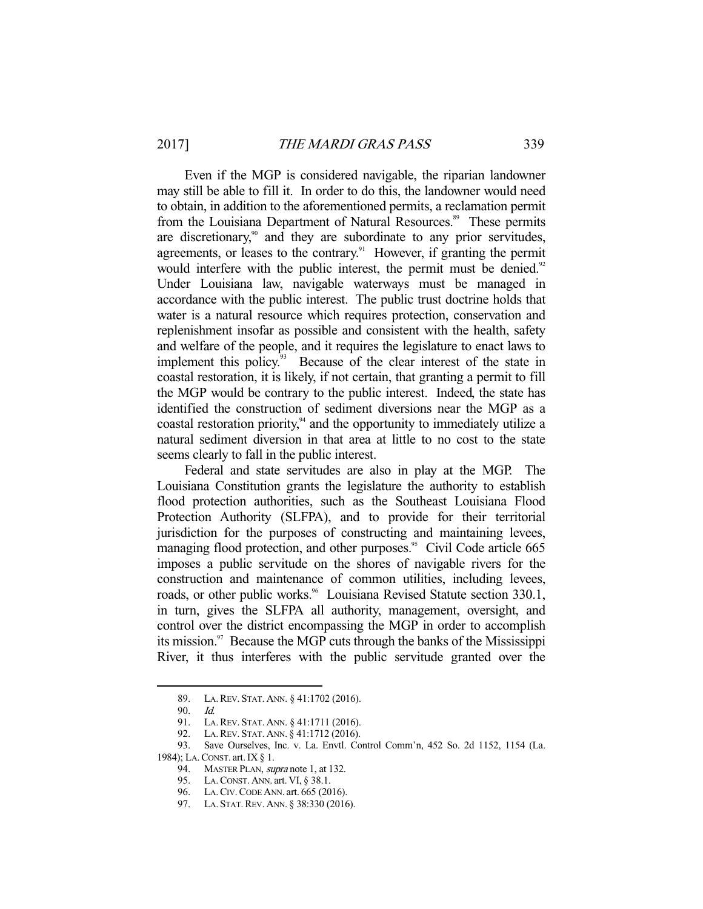Even if the MGP is considered navigable, the riparian landowner may still be able to fill it. In order to do this, the landowner would need to obtain, in addition to the aforementioned permits, a reclamation permit from the Louisiana Department of Natural Resources.<sup>89</sup> These permits are discretionary, $\delta$ <sup>0</sup> and they are subordinate to any prior servitudes, agreements, or leases to the contrary.<sup>91</sup> However, if granting the permit would interfere with the public interest, the permit must be denied.<sup>92</sup> Under Louisiana law, navigable waterways must be managed in accordance with the public interest. The public trust doctrine holds that water is a natural resource which requires protection, conservation and replenishment insofar as possible and consistent with the health, safety and welfare of the people, and it requires the legislature to enact laws to implement this policy.<sup>93</sup> Because of the clear interest of the state in coastal restoration, it is likely, if not certain, that granting a permit to fill the MGP would be contrary to the public interest. Indeed, the state has identified the construction of sediment diversions near the MGP as a coastal restoration priority, $94$  and the opportunity to immediately utilize a natural sediment diversion in that area at little to no cost to the state seems clearly to fall in the public interest.

 Federal and state servitudes are also in play at the MGP. The Louisiana Constitution grants the legislature the authority to establish flood protection authorities, such as the Southeast Louisiana Flood Protection Authority (SLFPA), and to provide for their territorial jurisdiction for the purposes of constructing and maintaining levees, managing flood protection, and other purposes.<sup>95</sup> Civil Code article 665 imposes a public servitude on the shores of navigable rivers for the construction and maintenance of common utilities, including levees, roads, or other public works.<sup>96</sup> Louisiana Revised Statute section 330.1, in turn, gives the SLFPA all authority, management, oversight, and control over the district encompassing the MGP in order to accomplish its mission.<sup>97</sup> Because the MGP cuts through the banks of the Mississippi River, it thus interferes with the public servitude granted over the

 <sup>89.</sup> LA.REV. STAT. ANN. § 41:1702 (2016).

 <sup>90.</sup> Id.

 <sup>91.</sup> LA.REV. STAT. ANN. § 41:1711 (2016).

 <sup>92.</sup> LA.REV. STAT. ANN. § 41:1712 (2016).

 <sup>93.</sup> Save Ourselves, Inc. v. La. Envtl. Control Comm'n, 452 So. 2d 1152, 1154 (La. 1984); LA.CONST. art.IX § 1.

<sup>94.</sup> MASTER PLAN, *supra* note 1, at 132.

 <sup>95.</sup> LA.CONST. ANN. art. VI, § 38.1.

 <sup>96.</sup> LA.CIV.CODE ANN. art. 665 (2016).

 <sup>97.</sup> LA. STAT.REV. ANN. § 38:330 (2016).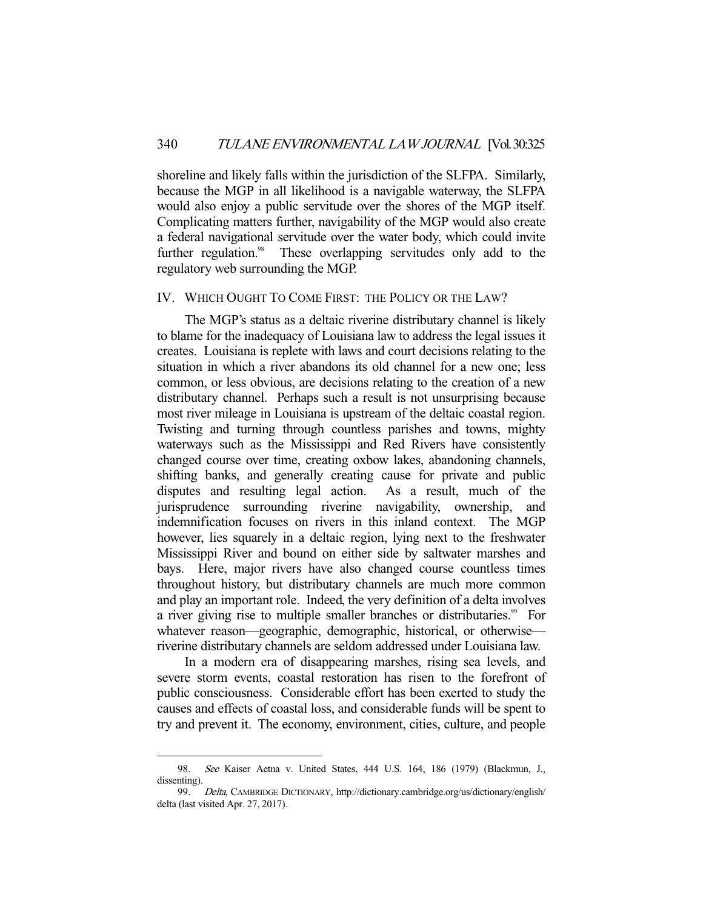shoreline and likely falls within the jurisdiction of the SLFPA. Similarly, because the MGP in all likelihood is a navigable waterway, the SLFPA would also enjoy a public servitude over the shores of the MGP itself. Complicating matters further, navigability of the MGP would also create a federal navigational servitude over the water body, which could invite further regulation.<sup>98</sup> These overlapping servitudes only add to the regulatory web surrounding the MGP.

#### IV. WHICH OUGHT TO COME FIRST: THE POLICY OR THE LAW?

 The MGP's status as a deltaic riverine distributary channel is likely to blame for the inadequacy of Louisiana law to address the legal issues it creates. Louisiana is replete with laws and court decisions relating to the situation in which a river abandons its old channel for a new one; less common, or less obvious, are decisions relating to the creation of a new distributary channel. Perhaps such a result is not unsurprising because most river mileage in Louisiana is upstream of the deltaic coastal region. Twisting and turning through countless parishes and towns, mighty waterways such as the Mississippi and Red Rivers have consistently changed course over time, creating oxbow lakes, abandoning channels, shifting banks, and generally creating cause for private and public disputes and resulting legal action. As a result, much of the jurisprudence surrounding riverine navigability, ownership, and indemnification focuses on rivers in this inland context. The MGP however, lies squarely in a deltaic region, lying next to the freshwater Mississippi River and bound on either side by saltwater marshes and bays. Here, major rivers have also changed course countless times throughout history, but distributary channels are much more common and play an important role. Indeed, the very definition of a delta involves a river giving rise to multiple smaller branches or distributaries.<sup>99</sup> For whatever reason—geographic, demographic, historical, or otherwise riverine distributary channels are seldom addressed under Louisiana law.

 In a modern era of disappearing marshes, rising sea levels, and severe storm events, coastal restoration has risen to the forefront of public consciousness. Considerable effort has been exerted to study the causes and effects of coastal loss, and considerable funds will be spent to try and prevent it. The economy, environment, cities, culture, and people

 <sup>98.</sup> See Kaiser Aetna v. United States, 444 U.S. 164, 186 (1979) (Blackmun, J., dissenting).

 <sup>99.</sup> Delta, CAMBRIDGE DICTIONARY, http://dictionary.cambridge.org/us/dictionary/english/ delta (last visited Apr. 27, 2017).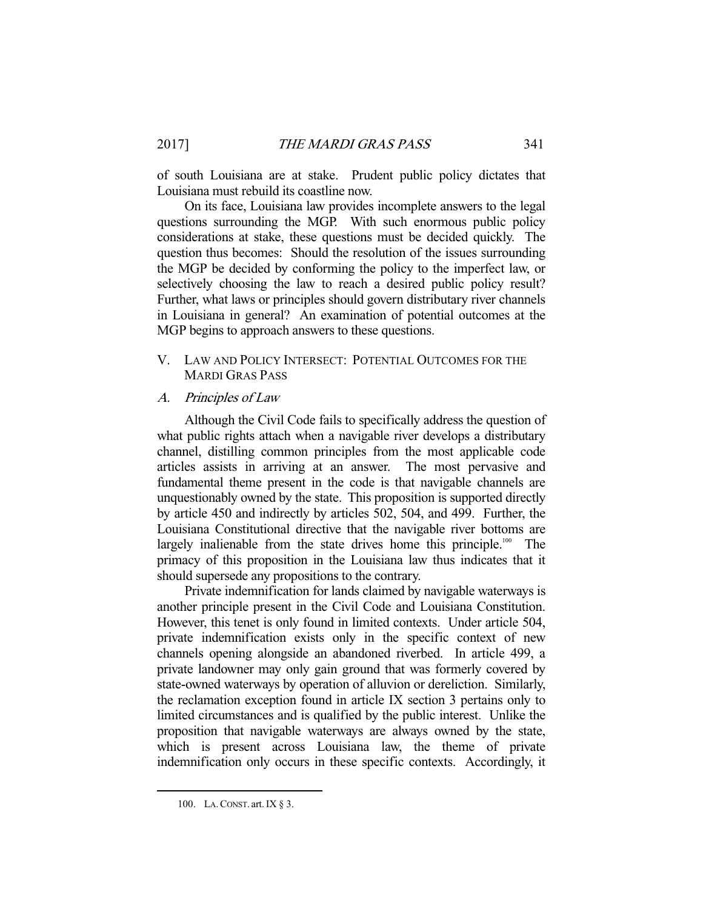of south Louisiana are at stake. Prudent public policy dictates that Louisiana must rebuild its coastline now.

 On its face, Louisiana law provides incomplete answers to the legal questions surrounding the MGP. With such enormous public policy considerations at stake, these questions must be decided quickly. The question thus becomes: Should the resolution of the issues surrounding the MGP be decided by conforming the policy to the imperfect law, or selectively choosing the law to reach a desired public policy result? Further, what laws or principles should govern distributary river channels in Louisiana in general? An examination of potential outcomes at the MGP begins to approach answers to these questions.

## V. LAW AND POLICY INTERSECT: POTENTIAL OUTCOMES FOR THE MARDI GRAS PASS

#### A. Principles of Law

 Although the Civil Code fails to specifically address the question of what public rights attach when a navigable river develops a distributary channel, distilling common principles from the most applicable code articles assists in arriving at an answer. The most pervasive and fundamental theme present in the code is that navigable channels are unquestionably owned by the state. This proposition is supported directly by article 450 and indirectly by articles 502, 504, and 499. Further, the Louisiana Constitutional directive that the navigable river bottoms are largely inalienable from the state drives home this principle.<sup>100</sup> The primacy of this proposition in the Louisiana law thus indicates that it should supersede any propositions to the contrary.

 Private indemnification for lands claimed by navigable waterways is another principle present in the Civil Code and Louisiana Constitution. However, this tenet is only found in limited contexts. Under article 504, private indemnification exists only in the specific context of new channels opening alongside an abandoned riverbed. In article 499, a private landowner may only gain ground that was formerly covered by state-owned waterways by operation of alluvion or dereliction. Similarly, the reclamation exception found in article IX section 3 pertains only to limited circumstances and is qualified by the public interest. Unlike the proposition that navigable waterways are always owned by the state, which is present across Louisiana law, the theme of private indemnification only occurs in these specific contexts. Accordingly, it

 <sup>100.</sup> LA.CONST. art.IX § 3.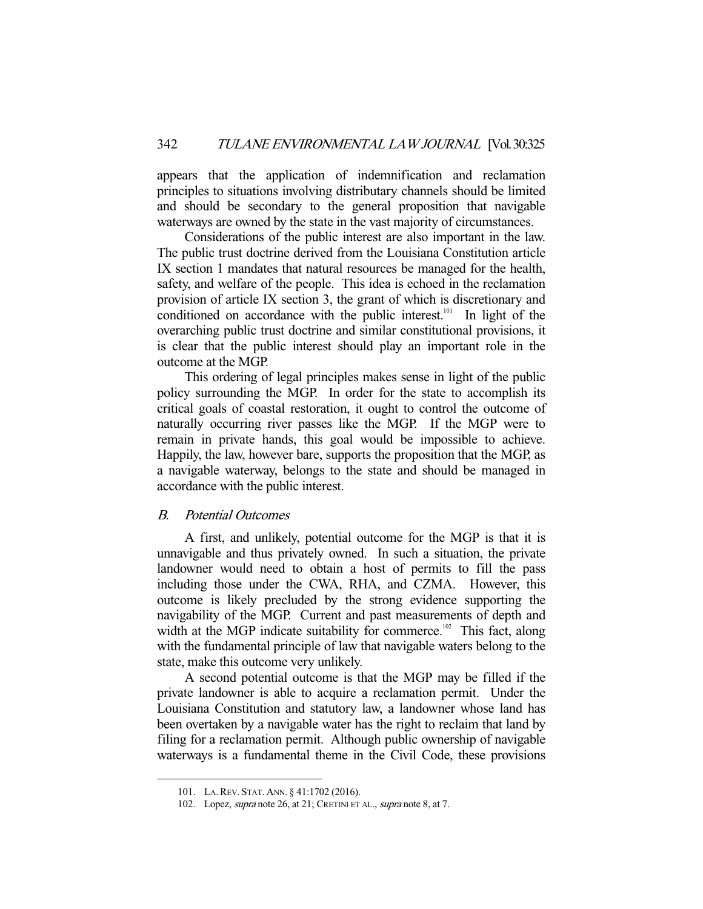appears that the application of indemnification and reclamation principles to situations involving distributary channels should be limited and should be secondary to the general proposition that navigable waterways are owned by the state in the vast majority of circumstances.

 Considerations of the public interest are also important in the law. The public trust doctrine derived from the Louisiana Constitution article IX section 1 mandates that natural resources be managed for the health, safety, and welfare of the people. This idea is echoed in the reclamation provision of article IX section 3, the grant of which is discretionary and conditioned on accordance with the public interest.<sup>101</sup> In light of the overarching public trust doctrine and similar constitutional provisions, it is clear that the public interest should play an important role in the outcome at the MGP.

 This ordering of legal principles makes sense in light of the public policy surrounding the MGP. In order for the state to accomplish its critical goals of coastal restoration, it ought to control the outcome of naturally occurring river passes like the MGP. If the MGP were to remain in private hands, this goal would be impossible to achieve. Happily, the law, however bare, supports the proposition that the MGP, as a navigable waterway, belongs to the state and should be managed in accordance with the public interest.

#### B. Potential Outcomes

 A first, and unlikely, potential outcome for the MGP is that it is unnavigable and thus privately owned. In such a situation, the private landowner would need to obtain a host of permits to fill the pass including those under the CWA, RHA, and CZMA. However, this outcome is likely precluded by the strong evidence supporting the navigability of the MGP. Current and past measurements of depth and width at the MGP indicate suitability for commerce.<sup>102</sup> This fact, along with the fundamental principle of law that navigable waters belong to the state, make this outcome very unlikely.

 A second potential outcome is that the MGP may be filled if the private landowner is able to acquire a reclamation permit. Under the Louisiana Constitution and statutory law, a landowner whose land has been overtaken by a navigable water has the right to reclaim that land by filing for a reclamation permit. Although public ownership of navigable waterways is a fundamental theme in the Civil Code, these provisions

 <sup>101.</sup> LA.REV. STAT. ANN. § 41:1702 (2016).

<sup>102.</sup> Lopez, *supra* note 26, at 21; CRETINI ET AL., *supra* note 8, at 7.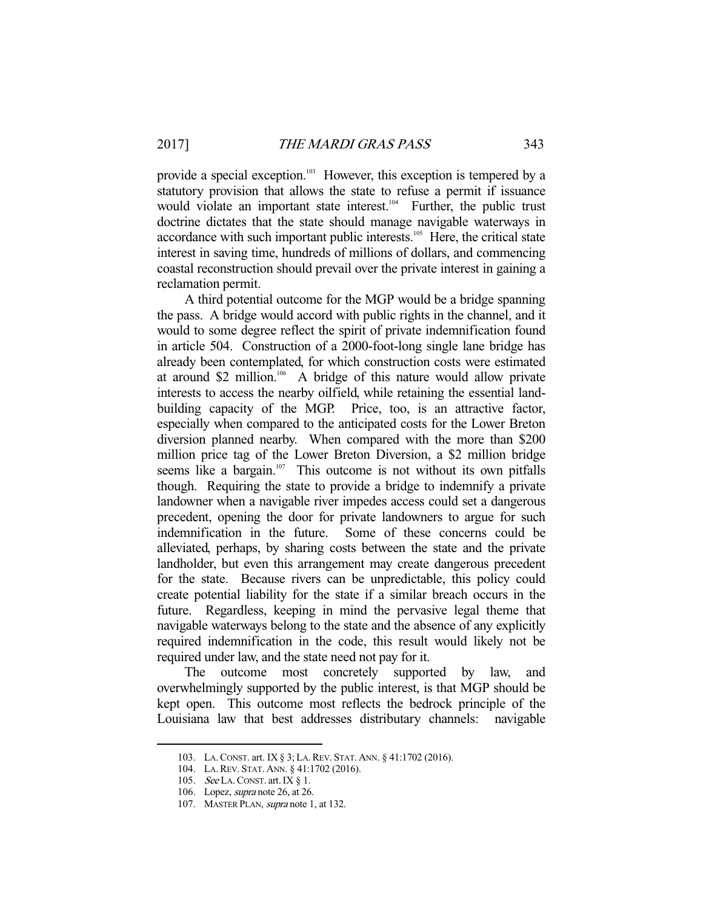provide a special exception.<sup>103</sup> However, this exception is tempered by a statutory provision that allows the state to refuse a permit if issuance would violate an important state interest.<sup>104</sup> Further, the public trust doctrine dictates that the state should manage navigable waterways in accordance with such important public interests.<sup>105</sup> Here, the critical state interest in saving time, hundreds of millions of dollars, and commencing coastal reconstruction should prevail over the private interest in gaining a reclamation permit.

 A third potential outcome for the MGP would be a bridge spanning the pass. A bridge would accord with public rights in the channel, and it would to some degree reflect the spirit of private indemnification found in article 504. Construction of a 2000-foot-long single lane bridge has already been contemplated, for which construction costs were estimated at around \$2 million.<sup>106</sup> A bridge of this nature would allow private interests to access the nearby oilfield, while retaining the essential landbuilding capacity of the MGP. Price, too, is an attractive factor, especially when compared to the anticipated costs for the Lower Breton diversion planned nearby. When compared with the more than \$200 million price tag of the Lower Breton Diversion, a \$2 million bridge seems like a bargain.<sup>107</sup> This outcome is not without its own pitfalls though. Requiring the state to provide a bridge to indemnify a private landowner when a navigable river impedes access could set a dangerous precedent, opening the door for private landowners to argue for such indemnification in the future. Some of these concerns could be alleviated, perhaps, by sharing costs between the state and the private landholder, but even this arrangement may create dangerous precedent for the state. Because rivers can be unpredictable, this policy could create potential liability for the state if a similar breach occurs in the future. Regardless, keeping in mind the pervasive legal theme that navigable waterways belong to the state and the absence of any explicitly required indemnification in the code, this result would likely not be required under law, and the state need not pay for it.

 The outcome most concretely supported by law, and overwhelmingly supported by the public interest, is that MGP should be kept open. This outcome most reflects the bedrock principle of the Louisiana law that best addresses distributary channels: navigable

 <sup>103.</sup> LA.CONST. art. IX § 3; LA.REV. STAT. ANN. § 41:1702 (2016).

 <sup>104.</sup> LA.REV. STAT. ANN. § 41:1702 (2016).

<sup>105.</sup> See LA. CONST. art. IX § 1.

 <sup>106.</sup> Lopez, supra note 26, at 26.

<sup>107.</sup> MASTER PLAN, *supra* note 1, at 132.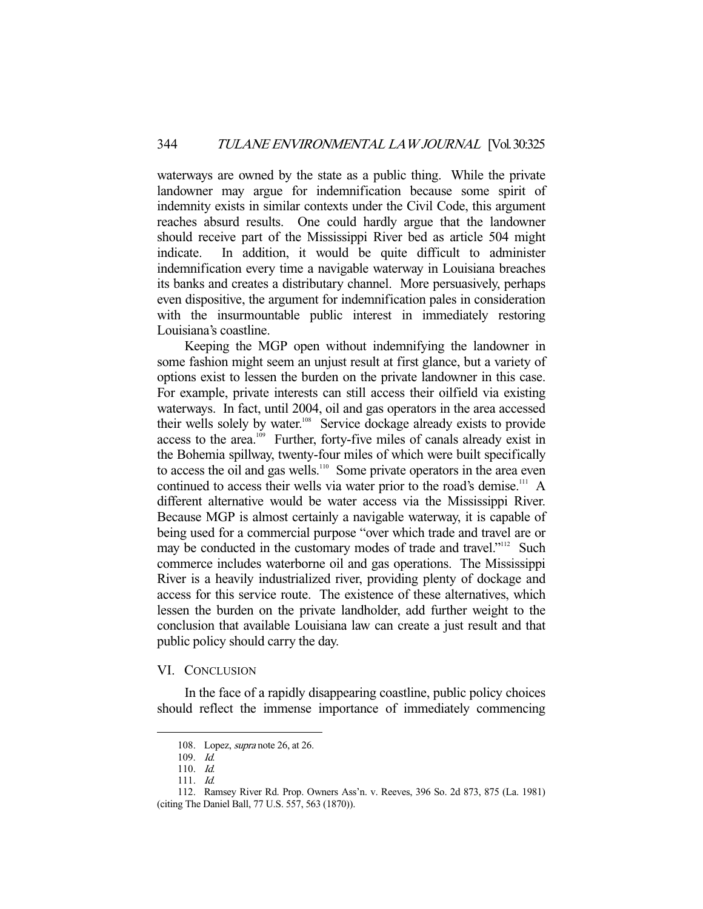waterways are owned by the state as a public thing. While the private landowner may argue for indemnification because some spirit of indemnity exists in similar contexts under the Civil Code, this argument reaches absurd results. One could hardly argue that the landowner should receive part of the Mississippi River bed as article 504 might indicate. In addition, it would be quite difficult to administer indemnification every time a navigable waterway in Louisiana breaches its banks and creates a distributary channel. More persuasively, perhaps even dispositive, the argument for indemnification pales in consideration with the insurmountable public interest in immediately restoring Louisiana's coastline.

 Keeping the MGP open without indemnifying the landowner in some fashion might seem an unjust result at first glance, but a variety of options exist to lessen the burden on the private landowner in this case. For example, private interests can still access their oilfield via existing waterways. In fact, until 2004, oil and gas operators in the area accessed their wells solely by water.<sup>108</sup> Service dockage already exists to provide access to the area.<sup>109</sup> Further, forty-five miles of canals already exist in the Bohemia spillway, twenty-four miles of which were built specifically to access the oil and gas wells.<sup>110</sup> Some private operators in the area even continued to access their wells via water prior to the road's demise.<sup>111</sup> A different alternative would be water access via the Mississippi River. Because MGP is almost certainly a navigable waterway, it is capable of being used for a commercial purpose "over which trade and travel are or may be conducted in the customary modes of trade and travel."<sup>112</sup> Such commerce includes waterborne oil and gas operations. The Mississippi River is a heavily industrialized river, providing plenty of dockage and access for this service route. The existence of these alternatives, which lessen the burden on the private landholder, add further weight to the conclusion that available Louisiana law can create a just result and that public policy should carry the day.

### VI. CONCLUSION

 In the face of a rapidly disappearing coastline, public policy choices should reflect the immense importance of immediately commencing

 <sup>108.</sup> Lopez, supra note 26, at 26.

 <sup>109.</sup> Id.

 <sup>110.</sup> Id.

 <sup>111.</sup> Id.

 <sup>112.</sup> Ramsey River Rd. Prop. Owners Ass'n. v. Reeves, 396 So. 2d 873, 875 (La. 1981) (citing The Daniel Ball, 77 U.S. 557, 563 (1870)).